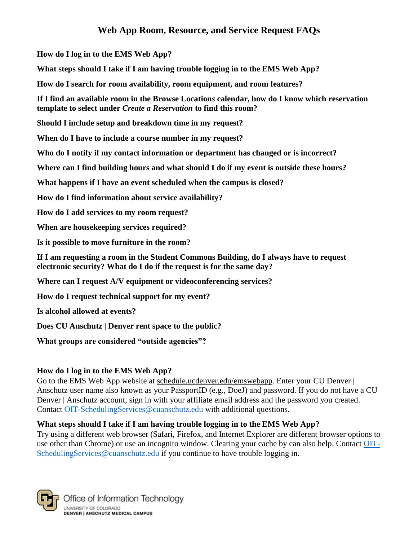**[How do I log in to the EMS Web App?](#page-0-0)**

**[What steps should I take if I am having trouble logging in to the EMS Web App?](#page-0-0)**

**[How do I search for room availability, room equipment, and room features?](#page-0-1)**

**If I find an available room in the Browse Location***s* **[calendar, how do I know which reservation](#page-1-0)  template to select under** *[Create a Reservation](#page-1-0)* **to find this room?**

**[Should I include setup and breakdown time in my request?](#page-1-1)**

**[When do I have to include a course number in my request?](#page-1-2)**

**[Who do I notify if my contact information or department has changed or](#page-1-3) is incorrect?**

**[Where can I find building hours and what should I do if my event is outside these hours?](#page-1-4)**

**[What happens if I have an event scheduled when the campus is closed?](#page-1-5)**

**[How do I find information about service availability?](#page-1-6)**

**[How do I add services to my room request?](#page-1-7)**

**[When are housekeeping services required?](#page-1-8)**

**[Is it possible to move furniture in the room?](#page-2-0)**

**[If I am requesting a room in the Student Commons Building, do I always have to request](#page-2-1)  [electronic security? What do I do if the request is for the same day?](#page-2-1)**

**[Where can I request A/V equipment or videoconferencing services?](#page-2-2)**

**[How do I request technical support for my event?](#page-2-2)**

**[Is alcohol allowed at events?](#page-2-3)**

**[Does CU Anschutz | Denver rent space to the public?](#page-2-4)**

**[What groups are considered "outside agencies"?](#page-3-0)**

### <span id="page-0-0"></span>**How do I log in to the EMS Web App?**

Go to the EMS Web App website at schedule.ucdenver.edu/emswebapp. Enter your CU Denver | Anschutz user name also known as your PassportID (e.g., DoeJ) and password. If you do not have a CU Denver | Anschutz account, sign in with your affiliate email address and the password you created. Contact [OIT-SchedulingServices@cuanschutz.edu](mailto:OIT-SchedulingServices@cuanschutz.edu) with additional questions.

### <span id="page-0-1"></span>**What steps should I take if I am having trouble logging in to the EMS Web App?**

Try using a different web browser (Safari, Firefox, and Internet Explorer are different browser options to use other than Chrome) or use an incognito window. Clearing your cache by can also help. Contact [OIT-](mailto:OIT-SchedulingServices@cuanschutz.edu)[SchedulingServices@cuanschutz.edu](mailto:OIT-SchedulingServices@cuanschutz.edu) if you continue to have trouble logging in.

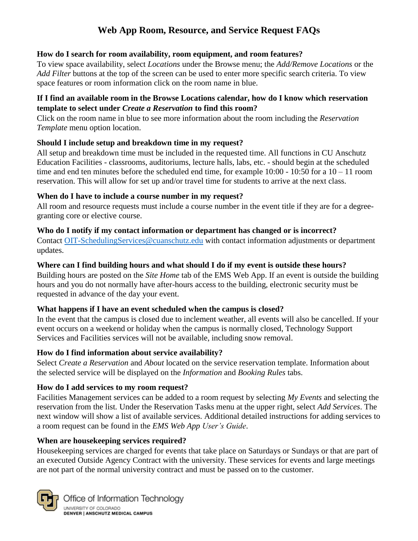### **How do I search for room availability, room equipment, and room features?**

To view space availability, select *Locations* under the Browse menu; the *Add/Remove Locations* or the *Add Filter* buttons at the top of the screen can be used to enter more specific search criteria. To view space features or room information click on the room name in blue.

### <span id="page-1-0"></span>**If I find an available room in the Browse Locations calendar, how do I know which reservation template to select under** *Create a Reservation* **to find this room?**

Click on the room name in blue to see more information about the room including the *Reservation Template* menu option location.

## <span id="page-1-1"></span>**Should I include setup and breakdown time in my request?**

All setup and breakdown time must be included in the requested time. All functions in CU Anschutz Education Facilities - classrooms, auditoriums, lecture halls, labs, etc. - should begin at the scheduled time and end ten minutes before the scheduled end time, for example  $10:00 - 10:50$  for a  $10 - 11$  room reservation. This will allow for set up and/or travel time for students to arrive at the next class.

## <span id="page-1-2"></span>**When do I have to include a course number in my request?**

All room and resource requests must include a course number in the event title if they are for a degreegranting core or elective course.

## <span id="page-1-3"></span>**Who do I notify if my contact information or department has changed or is incorrect?**

Contact [OIT-SchedulingServices@cuanschutz.edu](mailto:OIT-SchedulingServices@cuanschutz.edu) with contact information adjustments or department updates.

### <span id="page-1-4"></span>**Where can I find building hours and what should I do if my event is outside these hours?**

Building hours are posted on the *Site Home* tab of the EMS Web App. If an event is outside the building hours and you do not normally have after-hours access to the building, electronic security must be requested in advance of the day your event.

### <span id="page-1-5"></span>**What happens if I have an event scheduled when the campus is closed?**

In the event that the campus is closed due to inclement weather, all events will also be cancelled. If your event occurs on a weekend or holiday when the campus is normally closed, Technology Support Services and Facilities services will not be available, including snow removal.

## <span id="page-1-6"></span>**How do I find information about service availability?**

Select *Create a Reservation* and *About* located on the service reservation template. Information about the selected service will be displayed on the *Information* and *Booking Rules* tabs.

## <span id="page-1-7"></span>**How do I add services to my room request?**

Facilities Management services can be added to a room request by selecting *My Events* and selecting the reservation from the list*.* Under the Reservation Tasks menu at the upper right, select *Add Services*. The next window will show a list of available services. Additional detailed instructions for adding services to a room request can be found in the *EMS Web App User's Guide*.

### <span id="page-1-8"></span>**When are housekeeping services required?**

Housekeeping services are charged for events that take place on Saturdays or Sundays or that are part of an executed Outside Agency Contract with the university. These services for events and large meetings are not part of the normal university contract and must be passed on to the customer.

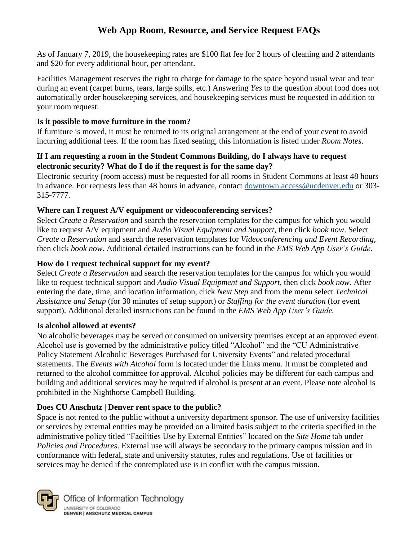As of January 7, 2019, the housekeeping rates are \$100 flat fee for 2 hours of cleaning and 2 attendants and \$20 for every additional hour, per attendant.

Facilities Management reserves the right to charge for damage to the space beyond usual wear and tear during an event (carpet burns, tears, large spills, etc.) Answering *Yes* to the question about food does not automatically order housekeeping services, and housekeeping services must be requested in addition to your room request.

### <span id="page-2-0"></span>**Is it possible to move furniture in the room?**

If furniture is moved, it must be returned to its original arrangement at the end of your event to avoid incurring additional fees. If the room has fixed seating, this information is listed under *Room Notes*.

#### <span id="page-2-1"></span>**If I am requesting a room in the Student Commons Building, do I always have to request electronic security? What do I do if the request is for the same day?**

Electronic security (room access) must be requested for all rooms in Student Commons at least 48 hours in advance. For requests less than 48 hours in advance, contact [downtown.access@ucdenver.edu](mailto:downtown.access@ucdenver.edu) or 303-315-7777.

### <span id="page-2-2"></span>**Where can I request A/V equipment or videoconferencing services?**

Select *Create a Reservation* and search the reservation templates for the campus for which you would like to request A/V equipment and *Audio Visual Equipment and Support*, then click *book now*. Select *Create a Reservation* and search the reservation templates for *Videoconferencing and Event Recording,*  then click *book now*. Additional detailed instructions can be found in the *EMS Web App User's Guide*.

### **How do I request technical support for my event?**

Select *Create a Reservation* and search the reservation templates for the campus for which you would like to request technical support and *Audio Visual Equipment and Support*, then click *book now*. After entering the date, time, and location information, click *Next Step* and from the menu select *Technical Assistance and Setup* (for 30 minutes of setup support) or *Staffing for the event duration* (for event support). Additional detailed instructions can be found in the *EMS Web App User's Guide.*

### <span id="page-2-3"></span>**Is alcohol allowed at events?**

No alcoholic beverages may be served or consumed on university premises except at an approved event. Alcohol use is governed by the administrative policy titled "Alcohol" and the "CU Administrative Policy Statement Alcoholic Beverages Purchased for University Events" and related procedural statements. The *Events with Alcohol* form is located under the Links menu. It must be completed and returned to the alcohol committee for approval. Alcohol policies may be different for each campus and building and additional services may be required if alcohol is present at an event. Please note alcohol is prohibited in the Nighthorse Campbell Building.

### <span id="page-2-4"></span>**Does CU Anschutz | Denver rent space to the public?**

Space is not rented to the public without a university department sponsor. The use of university facilities or services by external entities may be provided on a limited basis subject to the criteria specified in the administrative policy titled "Facilities Use by External Entities" located on the *Site Home* tab under *Policies and Procedures*. External use will always be secondary to the primary campus mission and in conformance with federal, state and university statutes, rules and regulations. Use of facilities or services may be denied if the contemplated use is in conflict with the campus mission.



Office of Information Technology UNIVERSITY OF COLORADO<br>Denver | Anschutz Medical Campus